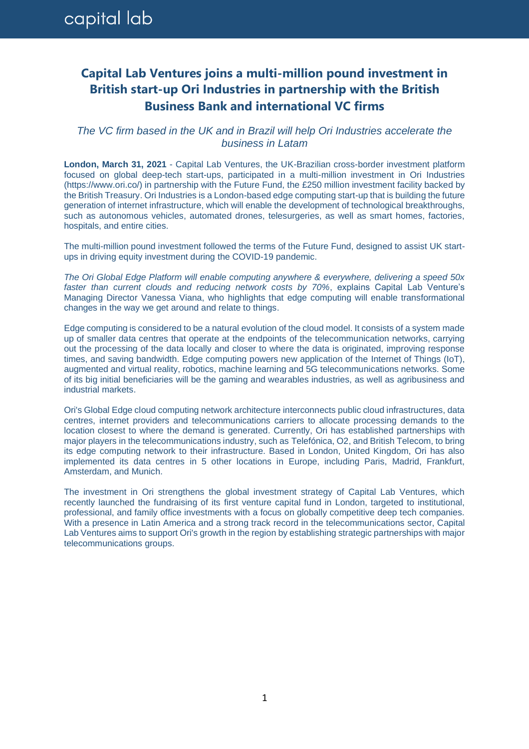## **Capital Lab Ventures joins a multi-million pound investment in British start-up Ori Industries in partnership with the British Business Bank and international VC firms**

## *The VC firm based in the UK and in Brazil will help Ori Industries accelerate the business in Latam*

**London, March 31, 2021** - Capital Lab Ventures, the UK-Brazilian cross-border investment platform focused on global deep-tech start-ups, participated in a multi-million investment in Ori Industries (https://www.ori.co/) in partnership with the Future Fund, the £250 million investment facility backed by the British Treasury. Ori Industries is a London-based edge computing start-up that is building the future generation of internet infrastructure, which will enable the development of technological breakthroughs, such as autonomous vehicles, automated drones, telesurgeries, as well as smart homes, factories, hospitals, and entire cities.

The multi-million pound investment followed the terms of the Future Fund, designed to assist UK startups in driving equity investment during the COVID-19 pandemic.

*The Ori Global Edge Platform will enable computing anywhere & everywhere, delivering a speed 50x faster than current clouds and reducing network costs by 70%*, explains Capital Lab Venture's Managing Director Vanessa Viana, who highlights that edge computing will enable transformational changes in the way we get around and relate to things.

Edge computing is considered to be a natural evolution of the cloud model. It consists of a system made up of smaller data centres that operate at the endpoints of the telecommunication networks, carrying out the processing of the data locally and closer to where the data is originated, improving response times, and saving bandwidth. Edge computing powers new application of the Internet of Things (IoT), augmented and virtual reality, robotics, machine learning and 5G telecommunications networks. Some of its big initial beneficiaries will be the gaming and wearables industries, as well as agribusiness and industrial markets.

Ori's Global Edge cloud computing network architecture interconnects public cloud infrastructures, data centres, internet providers and telecommunications carriers to allocate processing demands to the location closest to where the demand is generated. Currently, Ori has established partnerships with major players in the telecommunications industry, such as Telefónica, O2, and British Telecom, to bring its edge computing network to their infrastructure. Based in London, United Kingdom, Ori has also implemented its data centres in 5 other locations in Europe, including Paris, Madrid, Frankfurt, Amsterdam, and Munich.

The investment in Ori strengthens the global investment strategy of Capital Lab Ventures, which recently launched the fundraising of its first venture capital fund in London, targeted to institutional, professional, and family office investments with a focus on globally competitive deep tech companies. With a presence in Latin America and a strong track record in the telecommunications sector, Capital Lab Ventures aims to support Ori's growth in the region by establishing strategic partnerships with major telecommunications groups.